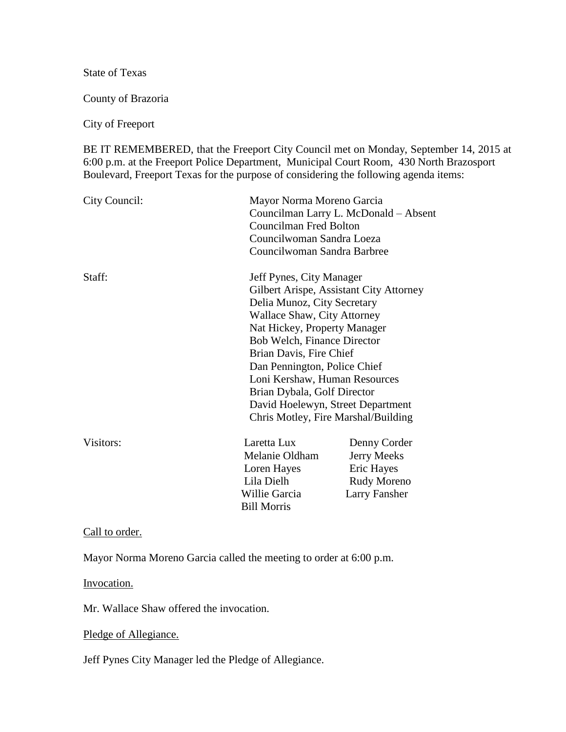State of Texas

County of Brazoria

City of Freeport

BE IT REMEMBERED, that the Freeport City Council met on Monday, September 14, 2015 at 6:00 p.m. at the Freeport Police Department, Municipal Court Room, 430 North Brazosport Boulevard, Freeport Texas for the purpose of considering the following agenda items:

| City Council: | Mayor Norma Moreno Garcia<br>Councilman Larry L. McDonald - Absent<br><b>Councilman Fred Bolton</b><br>Councilwoman Sandra Loeza<br>Councilwoman Sandra Barbree                                                                                                                                                                                                                                                |                                                                           |
|---------------|----------------------------------------------------------------------------------------------------------------------------------------------------------------------------------------------------------------------------------------------------------------------------------------------------------------------------------------------------------------------------------------------------------------|---------------------------------------------------------------------------|
| Staff:        | Jeff Pynes, City Manager<br>Gilbert Arispe, Assistant City Attorney<br>Delia Munoz, City Secretary<br><b>Wallace Shaw, City Attorney</b><br>Nat Hickey, Property Manager<br>Bob Welch, Finance Director<br>Brian Davis, Fire Chief<br>Dan Pennington, Police Chief<br>Loni Kershaw, Human Resources<br>Brian Dybala, Golf Director<br>David Hoelewyn, Street Department<br>Chris Motley, Fire Marshal/Building |                                                                           |
| Visitors:     | Laretta Lux<br>Melanie Oldham<br>Loren Hayes<br>Lila Dielh<br>Willie Garcia<br><b>Bill Morris</b>                                                                                                                                                                                                                                                                                                              | Denny Corder<br>Jerry Meeks<br>Eric Hayes<br>Rudy Moreno<br>Larry Fansher |

Call to order.

Mayor Norma Moreno Garcia called the meeting to order at 6:00 p.m.

Invocation.

Mr. Wallace Shaw offered the invocation.

Pledge of Allegiance.

Jeff Pynes City Manager led the Pledge of Allegiance.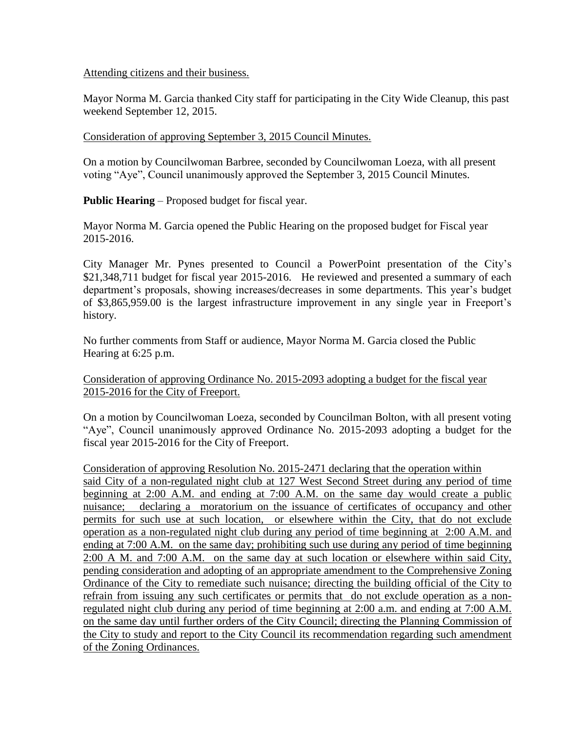## Attending citizens and their business.

Mayor Norma M. Garcia thanked City staff for participating in the City Wide Cleanup, this past weekend September 12, 2015.

## Consideration of approving September 3, 2015 Council Minutes.

On a motion by Councilwoman Barbree, seconded by Councilwoman Loeza, with all present voting "Aye", Council unanimously approved the September 3, 2015 Council Minutes.

**Public Hearing** – Proposed budget for fiscal year.

Mayor Norma M. Garcia opened the Public Hearing on the proposed budget for Fiscal year 2015-2016.

City Manager Mr. Pynes presented to Council a PowerPoint presentation of the City's \$21,348,711 budget for fiscal year 2015-2016. He reviewed and presented a summary of each department's proposals, showing increases/decreases in some departments. This year's budget of \$3,865,959.00 is the largest infrastructure improvement in any single year in Freeport's history.

No further comments from Staff or audience, Mayor Norma M. Garcia closed the Public Hearing at 6:25 p.m.

## Consideration of approving Ordinance No. 2015-2093 adopting a budget for the fiscal year 2015-2016 for the City of Freeport.

On a motion by Councilwoman Loeza, seconded by Councilman Bolton, with all present voting "Aye", Council unanimously approved Ordinance No. 2015-2093 adopting a budget for the fiscal year 2015-2016 for the City of Freeport.

Consideration of approving Resolution No. 2015-2471 declaring that the operation within said City of a non-regulated night club at 127 West Second Street during any period of time beginning at 2:00 A.M. and ending at 7:00 A.M. on the same day would create a public nuisance; declaring a moratorium on the issuance of certificates of occupancy and other permits for such use at such location, or elsewhere within the City, that do not exclude operation as a non-regulated night club during any period of time beginning at 2:00 A.M. and ending at 7:00 A.M. on the same day; prohibiting such use during any period of time beginning 2:00 A M. and 7:00 A.M. on the same day at such location or elsewhere within said City, pending consideration and adopting of an appropriate amendment to the Comprehensive Zoning Ordinance of the City to remediate such nuisance; directing the building official of the City to refrain from issuing any such certificates or permits that do not exclude operation as a nonregulated night club during any period of time beginning at 2:00 a.m. and ending at 7:00 A.M. on the same day until further orders of the City Council; directing the Planning Commission of the City to study and report to the City Council its recommendation regarding such amendment of the Zoning Ordinances.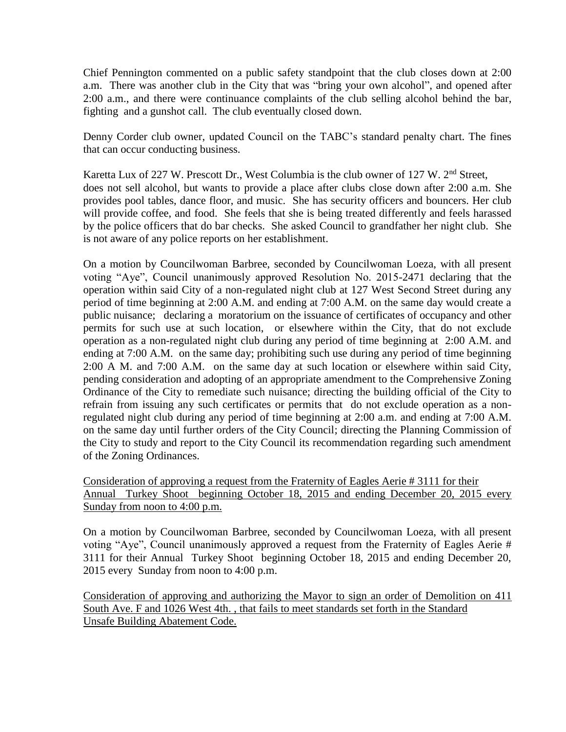Chief Pennington commented on a public safety standpoint that the club closes down at 2:00 a.m. There was another club in the City that was "bring your own alcohol", and opened after 2:00 a.m., and there were continuance complaints of the club selling alcohol behind the bar, fighting and a gunshot call. The club eventually closed down.

Denny Corder club owner, updated Council on the TABC's standard penalty chart. The fines that can occur conducting business.

Karetta Lux of 227 W. Prescott Dr., West Columbia is the club owner of 127 W. 2<sup>nd</sup> Street, does not sell alcohol, but wants to provide a place after clubs close down after 2:00 a.m. She provides pool tables, dance floor, and music. She has security officers and bouncers. Her club will provide coffee, and food. She feels that she is being treated differently and feels harassed by the police officers that do bar checks. She asked Council to grandfather her night club. She is not aware of any police reports on her establishment.

On a motion by Councilwoman Barbree, seconded by Councilwoman Loeza, with all present voting "Aye", Council unanimously approved Resolution No. 2015-2471 declaring that the operation within said City of a non-regulated night club at 127 West Second Street during any period of time beginning at 2:00 A.M. and ending at 7:00 A.M. on the same day would create a public nuisance; declaring a moratorium on the issuance of certificates of occupancy and other permits for such use at such location, or elsewhere within the City, that do not exclude operation as a non-regulated night club during any period of time beginning at 2:00 A.M. and ending at 7:00 A.M. on the same day; prohibiting such use during any period of time beginning 2:00 A M. and 7:00 A.M. on the same day at such location or elsewhere within said City, pending consideration and adopting of an appropriate amendment to the Comprehensive Zoning Ordinance of the City to remediate such nuisance; directing the building official of the City to refrain from issuing any such certificates or permits that do not exclude operation as a nonregulated night club during any period of time beginning at 2:00 a.m. and ending at 7:00 A.M. on the same day until further orders of the City Council; directing the Planning Commission of the City to study and report to the City Council its recommendation regarding such amendment of the Zoning Ordinances.

Consideration of approving a request from the Fraternity of Eagles Aerie # 3111 for their Annual Turkey Shoot beginning October 18, 2015 and ending December 20, 2015 every Sunday from noon to 4:00 p.m.

On a motion by Councilwoman Barbree, seconded by Councilwoman Loeza, with all present voting "Aye", Council unanimously approved a request from the Fraternity of Eagles Aerie # 3111 for their Annual Turkey Shoot beginning October 18, 2015 and ending December 20, 2015 every Sunday from noon to 4:00 p.m.

Consideration of approving and authorizing the Mayor to sign an order of Demolition on 411 South Ave. F and 1026 West 4th. , that fails to meet standards set forth in the Standard Unsafe Building Abatement Code.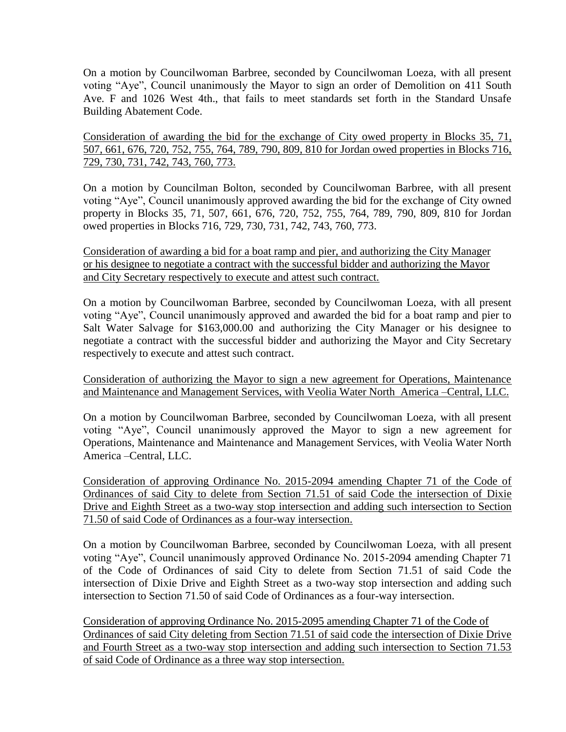On a motion by Councilwoman Barbree, seconded by Councilwoman Loeza, with all present voting "Aye", Council unanimously the Mayor to sign an order of Demolition on 411 South Ave. F and 1026 West 4th., that fails to meet standards set forth in the Standard Unsafe Building Abatement Code.

Consideration of awarding the bid for the exchange of City owed property in Blocks 35, 71, 507, 661, 676, 720, 752, 755, 764, 789, 790, 809, 810 for Jordan owed properties in Blocks 716, 729, 730, 731, 742, 743, 760, 773.

On a motion by Councilman Bolton, seconded by Councilwoman Barbree, with all present voting "Aye", Council unanimously approved awarding the bid for the exchange of City owned property in Blocks 35, 71, 507, 661, 676, 720, 752, 755, 764, 789, 790, 809, 810 for Jordan owed properties in Blocks 716, 729, 730, 731, 742, 743, 760, 773.

Consideration of awarding a bid for a boat ramp and pier, and authorizing the City Manager or his designee to negotiate a contract with the successful bidder and authorizing the Mayor and City Secretary respectively to execute and attest such contract.

On a motion by Councilwoman Barbree, seconded by Councilwoman Loeza, with all present voting "Aye", Council unanimously approved and awarded the bid for a boat ramp and pier to Salt Water Salvage for \$163,000.00 and authorizing the City Manager or his designee to negotiate a contract with the successful bidder and authorizing the Mayor and City Secretary respectively to execute and attest such contract.

Consideration of authorizing the Mayor to sign a new agreement for Operations, Maintenance and Maintenance and Management Services, with Veolia Water North America –Central, LLC.

On a motion by Councilwoman Barbree, seconded by Councilwoman Loeza, with all present voting "Aye", Council unanimously approved the Mayor to sign a new agreement for Operations, Maintenance and Maintenance and Management Services, with Veolia Water North America –Central, LLC.

Consideration of approving Ordinance No. 2015-2094 amending Chapter 71 of the Code of Ordinances of said City to delete from Section 71.51 of said Code the intersection of Dixie Drive and Eighth Street as a two-way stop intersection and adding such intersection to Section 71.50 of said Code of Ordinances as a four-way intersection.

On a motion by Councilwoman Barbree, seconded by Councilwoman Loeza, with all present voting "Aye", Council unanimously approved Ordinance No. 2015-2094 amending Chapter 71 of the Code of Ordinances of said City to delete from Section 71.51 of said Code the intersection of Dixie Drive and Eighth Street as a two-way stop intersection and adding such intersection to Section 71.50 of said Code of Ordinances as a four-way intersection.

Consideration of approving Ordinance No. 2015-2095 amending Chapter 71 of the Code of Ordinances of said City deleting from Section 71.51 of said code the intersection of Dixie Drive and Fourth Street as a two-way stop intersection and adding such intersection to Section 71.53 of said Code of Ordinance as a three way stop intersection.